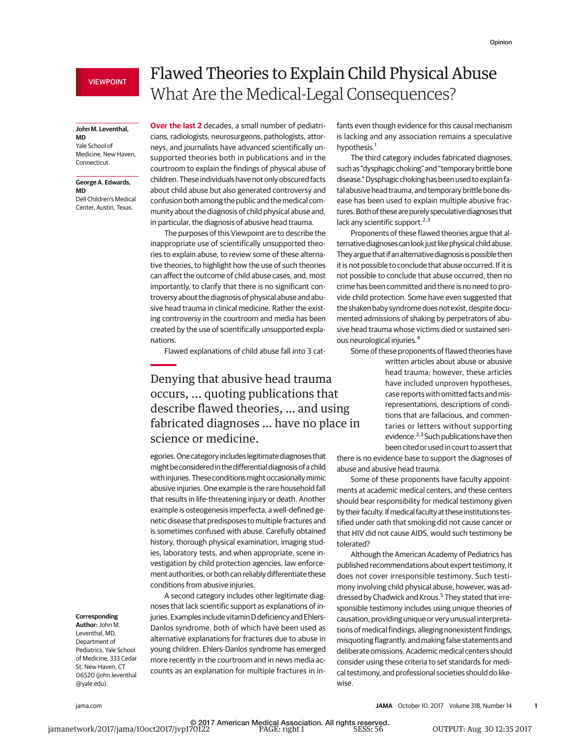## **John M. Leventhal,**

**MD** Yale School of Medicine, New Haven, Connecticut.

#### **George A. Edwards, MD**

Dell Children's Medical Center, Austin, Texas.

# Flawed Theories to Explain Child Physical Abuse What Are the Medical-Legal Consequences?

**Over the last 2** decades, a small number of pediatricians, radiologists, neurosurgeons, pathologists, attorneys, and journalists have advanced scientifically unsupported theories both in publications and in the courtroom to explain the findings of physical abuse of children. These individuals have not only obscured facts about child abuse but also generated controversy and confusion both among the public and the medical community about the diagnosis of child physical abuse and, in particular, the diagnosis of abusive head trauma.

The purposes of this Viewpoint are to describe the inappropriate use of scientifically unsupported theories to explain abuse, to review some of these alternative theories, to highlight how the use of such theories can affect the outcome of child abuse cases, and, most importantly, to clarify that there is no significant controversy about the diagnosis of physical abuse and abusive head trauma in clinical medicine. Rather the existing controversy in the courtroom and media has been created by the use of scientifically unsupported explanations.

Flawed explanations of child abuse fall into 3 cat-

# Denying that abusive head trauma occurs, ... quoting publications that describe flawed theories, … and using fabricated diagnoses … have no place in science or medicine.

egories.One category includes legitimate diagnoses that might be considered in the differential diagnosis of a child with injuries. These conditions might occasionally mimic abusive injuries. One example is the rare household fall that results in life-threatening injury or death. Another example is osteogenesis imperfecta, a well-defined genetic disease that predisposes to multiple fractures and is sometimes confused with abuse. Carefully obtained history, thorough physical examination, imaging studies, laboratory tests, and when appropriate, scene investigation by child protection agencies, law enforcement authorities, or both can reliably differentiate these conditions from abusive injuries.

A second category includes other legitimate diagnoses that lack scientific support as explanations of injuries. Examples include vitamin D deficiency and Ehlers-Danlos syndrome, both of which have been used as alternative explanations for fractures due to abuse in young children. Ehlers-Danlos syndrome has emerged more recently in the courtroom and in news media accounts as an explanation for multiple fractures in in-

fants even though evidence for this causal mechanism is lacking and any association remains a speculative hypothesis.<sup>1</sup>

The third category includes fabricated diagnoses, such as "dysphagic choking" and "temporary brittle bone disease."Dysphagic choking has been used to explain fatal abusive head trauma, and temporary brittle bone disease has been used to explain multiple abusive fractures. Both of these are purely speculative diagnoses that lack any scientific support.<sup>2,3</sup>

Proponents of these flawed theories argue that alternative diagnoses can look just like physical childabuse. They argue that if an alternative diagnosis is possible then it is not possible to conclude that abuse occurred. If it is not possible to conclude that abuse occurred, then no crime has been committed and there is no need to provide child protection. Some have even suggested that the shaken baby syndrome does not exist, despite documented admissions of shaking by perpetrators of abusive head trauma whose victims died or sustained serious neurological injuries.<sup>4</sup>

Some of these proponents of flawed theories have written articles about abuse or abusive head trauma; however, these articles have included unproven hypotheses, case reports with omitted facts and mis-

representations, descriptions of conditions that are fallacious, and commentaries or letters without supporting evidence.<sup>2,3</sup> Such publications have then been cited or used in court to assert that

there is no evidence base to support the diagnoses of abuse and abusive head trauma.

Some of these proponents have faculty appointments at academic medical centers, and these centers should bear responsibility for medical testimony given by their faculty. If medical faculty at these institutions testified under oath that smoking did not cause cancer or that HIV did not cause AIDS, would such testimony be tolerated?

Although the American Academy of Pediatrics has published recommendations about expert testimony, it does not cover irresponsible testimony. Such testimony involving child physical abuse, however, was addressed by Chadwick and Krous.<sup>5</sup> They stated that irresponsible testimony includes using unique theories of causation, providing unique or very unusual interpretations of medical findings, alleging nonexistent findings, misquoting flagrantly, and making false statements and deliberate omissions. Academic medical centers should consider using these criteria to set standards for medical testimony, and professional societies should do likewise.

### **Corresponding Author:** John M.

Leventhal, MD, Department of Pediatrics, Yale School of Medicine, 333 Cedar St, New Haven, CT 06520 [\(john.leventhal](mailto:john.leventhal@yale.edu) [@yale.edu\)](mailto:john.leventhal@yale.edu).

[jama.com](http://www.jama.com/?utm_campaign=articlePDF%26utm_medium=articlePDFlink%26utm_source=articlePDF%26utm_content=jama.2017.11703) **(Reprinted) JAMA** October 10, 2017 Volume 318, Number 14 **1**